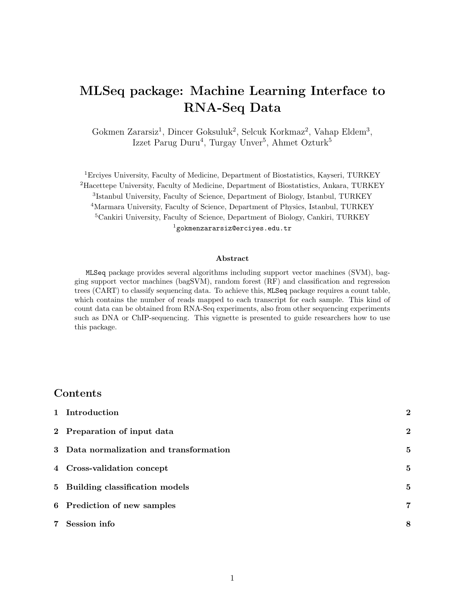# MLSeq package: Machine Learning Interface to RNA-Seq Data

Gokmen Zararsiz<sup>1</sup>, Dincer Goksuluk<sup>2</sup>, Selcuk Korkmaz<sup>2</sup>, Vahap Eldem<sup>3</sup>, Izzet Parug Duru<sup>4</sup>, Turgay Unver<sup>5</sup>, Ahmet Ozturk<sup>5</sup>

Erciyes University, Faculty of Medicine, Department of Biostatistics, Kayseri, TURKEY Hacettepe University, Faculty of Medicine, Department of Biostatistics, Ankara, TURKEY Istanbul University, Faculty of Science, Department of Biology, Istanbul, TURKEY <sup>4</sup>Marmara University, Faculty of Science, Department of Physics, Istanbul, TURKEY Cankiri University, Faculty of Science, Department of Biology, Cankiri, TURKEY gokmenzararsiz@erciyes.edu.tr

#### Abstract

MLSeq package provides several algorithms including support vector machines (SVM), bagging support vector machines (bagSVM), random forest (RF) and classification and regression trees (CART) to classify sequencing data. To achieve this, MLSeq package requires a count table, which contains the number of reads mapped to each transcript for each sample. This kind of count data can be obtained from RNA-Seq experiments, also from other sequencing experiments such as DNA or ChIP-sequencing. This vignette is presented to guide researchers how to use this package.

#### Contents

| 1 Introduction                          | $\overline{2}$ |
|-----------------------------------------|----------------|
| 2 Preparation of input data             | $\bf{2}$       |
| 3 Data normalization and transformation | 5              |
| 4 Cross-validation concept              | 5              |
| 5 Building classification models        | 5              |
| 6 Prediction of new samples             | 7              |
| 7 Session info                          | 8              |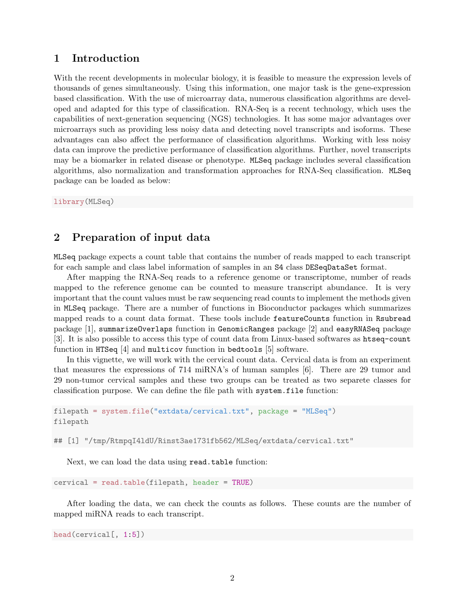## 1 Introduction

With the recent developments in molecular biology, it is feasible to measure the expression levels of thousands of genes simultaneously. Using this information, one major task is the gene-expression based classification. With the use of microarray data, numerous classification algorithms are developed and adapted for this type of classification. RNA-Seq is a recent technology, which uses the capabilities of next-generation sequencing (NGS) technologies. It has some major advantages over microarrays such as providing less noisy data and detecting novel transcripts and isoforms. These advantages can also affect the performance of classification algorithms. Working with less noisy data can improve the predictive performance of classification algorithms. Further, novel transcripts may be a biomarker in related disease or phenotype. MLSeq package includes several classification algorithms, also normalization and transformation approaches for RNA-Seq classification. MLSeq package can be loaded as below:

library(MLSeq)

## 2 Preparation of input data

MLSeq package expects a count table that contains the number of reads mapped to each transcript for each sample and class label information of samples in an S4 class DESeqDataSet format.

After mapping the RNA-Seq reads to a reference genome or transcriptome, number of reads mapped to the reference genome can be counted to measure transcript abundance. It is very important that the count values must be raw sequencing read counts to implement the methods given in MLSeq package. There are a number of functions in Bioconductor packages which summarizes mapped reads to a count data format. These tools include featureCounts function in Rsubread package [1], summarizeOverlaps function in GenomicRanges package [2] and easyRNASeq package [3]. It is also possible to access this type of count data from Linux-based softwares as htseq-count function in HTSeq [4] and multicov function in bedtools [5] software.

In this vignette, we will work with the cervical count data. Cervical data is from an experiment that measures the expressions of 714 miRNA's of human samples [6]. There are 29 tumor and 29 non-tumor cervical samples and these two groups can be treated as two separete classes for classification purpose. We can define the file path with system.file function:

```
filepath = system.file("extdata/cervical.txt", package = "MLSeq")
filepath
```
## [1] "/tmp/RtmpqI41dU/Rinst3ae1731fb562/MLSeq/extdata/cervical.txt"

Next, we can load the data using read.table function:

cervical = read.table(filepath, header = TRUE)

After loading the data, we can check the counts as follows. These counts are the number of mapped miRNA reads to each transcript.

```
head(cervical[, 1:5])
```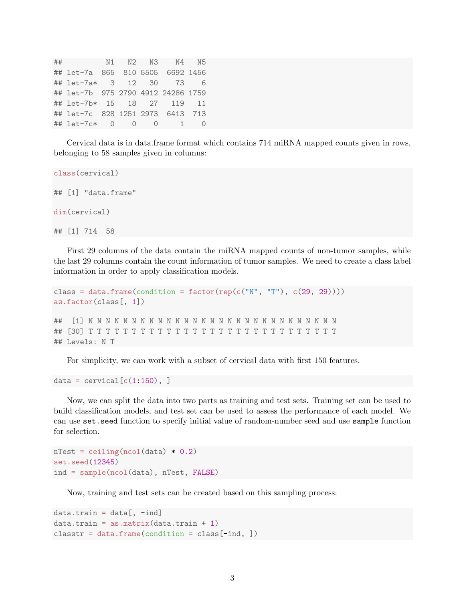## N1 N2 N3 N4 N5 ## let-7a 865 810 5505 6692 1456 ## let-7a\* 3 12 30 73 6 ## let-7b 975 2790 4912 24286 1759 ## let-7b\* 15 18 27 119 11 ## let-7c 828 1251 2973 6413 713 ## let-7c\* 0 0 0 1 0

Cervical data is in data.frame format which contains 714 miRNA mapped counts given in rows, belonging to 58 samples given in columns:

```
class(cervical)
## [1] "data.frame"
dim(cervical)
## [1] 714 58
```
First 29 columns of the data contain the miRNA mapped counts of non-tumor samples, while the last 29 columns contain the count information of tumor samples. We need to create a class label information in order to apply classification models.

```
class = data.frame(condition = factor(rep(c("N", "T"), c(29, 29))))
as.factor(class[, 1])
## [1] N N N N N N N N N N N N N N N N N N N N N N N N N N N N N
## [30] T T T T T T T T T T T T T T T T T T T T T T T T T T T T T
## Levels: N T
```
For simplicity, we can work with a subset of cervical data with first 150 features.

```
data = cervical[c(1:150), ]
```
Now, we can split the data into two parts as training and test sets. Training set can be used to build classification models, and test set can be used to assess the performance of each model. We can use set.seed function to specify initial value of random-number seed and use sample function for selection.

```
nTest = ceiling(ncol(data) * 0.2)set.seed(12345)
ind = sample(ncol(data), nTest, FALSE)
```
Now, training and test sets can be created based on this sampling process:

```
data.train = data[, -ind]data.train = as.matrix(data.train + 1)\text{cluster} = \text{data-frame}(\text{condition} = \text{class}[\text{-ind}, ])
```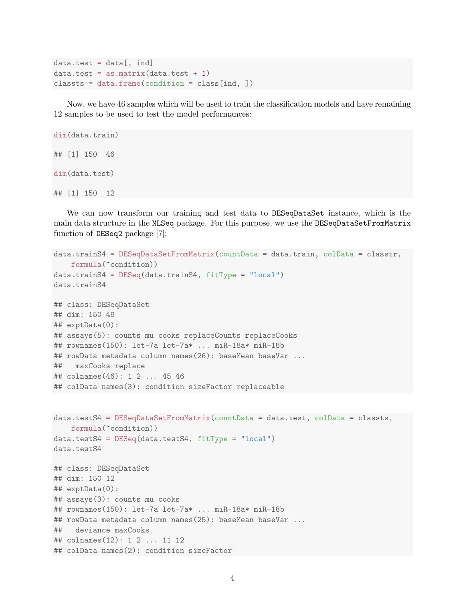```
data.test = data[, ind]data.test = as.matrix(data.test + 1)classts = data.frame(condition = class[ind, ])
```
Now, we have 46 samples which will be used to train the classification models and have remaining 12 samples to be used to test the model performances:

```
dim(data.train)
## [1] 150 46
dim(data.test)
## [1] 150 12
```
We can now transform our training and test data to DESeqDataSet instance, which is the main data structure in the MLSeq package. For this purpose, we use the DESeqDataSetFromMatrix function of DESeq2 package [7]:

```
data.trainS4 = DESeqDataSetFromMatrix(countData = data.train, colData = classtr,
    formula(~condition))
data.trainS4 = DESeq(data.trainS4, fitType = "local")
data.trainS4
## class: DESeqDataSet
## dim: 150 46
## exptData(0):
## assays(5): counts mu cooks replaceCounts replaceCooks
## rownames(150): let-7a let-7a* ... miR-18a* miR-18b
## rowData metadata column names(26): baseMean baseVar ...
## maxCooks replace
## colnames(46): 1 2 ... 45 46
## colData names(3): condition sizeFactor replaceable
data.testS4 = DESeqDataSetFromMatrix(countData = data.test, colData = classts,
    formula(~condition))
data.testS4 = DESeq(data.testS4, fitType = "local")
data.testS4
## class: DESeqDataSet
## dim: 150 12
## exptData(0):
## assays(3): counts mu cooks
## rownames(150): let-7a let-7a* ... miR-18a* miR-18b
## rowData metadata column names(25): baseMean baseVar ...
## deviance maxCooks
## colnames(12): 1 2 ... 11 12
## colData names(2): condition sizeFactor
```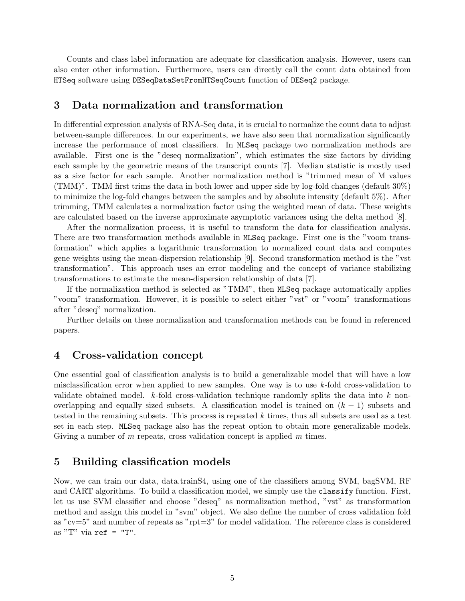Counts and class label information are adequate for classification analysis. However, users can also enter other information. Furthermore, users can directly call the count data obtained from HTSeq software using DESeqDataSetFromHTSeqCount function of DESeq2 package.

#### 3 Data normalization and transformation

In differential expression analysis of RNA-Seq data, it is crucial to normalize the count data to adjust between-sample differences. In our experiments, we have also seen that normalization significantly increase the performance of most classifiers. In MLSeq package two normalization methods are available. First one is the "deseq normalization", which estimates the size factors by dividing each sample by the geometric means of the transcript counts [7]. Median statistic is mostly used as a size factor for each sample. Another normalization method is "trimmed mean of M values (TMM)". TMM first trims the data in both lower and upper side by log-fold changes (default 30%) to minimize the log-fold changes between the samples and by absolute intensity (default 5%). After trimming, TMM calculates a normalization factor using the weighted mean of data. These weights are calculated based on the inverse approximate asymptotic variances using the delta method [8].

After the normalization process, it is useful to transform the data for classification analysis. There are two transformation methods available in MLSeq package. First one is the "voom transformation" which applies a logarithmic transformation to normalized count data and computes gene weights using the mean-dispersion relationship [9]. Second transformation method is the "vst transformation". This approach uses an error modeling and the concept of variance stabilizing transformations to estimate the mean-dispersion relationship of data [7].

If the normalization method is selected as "TMM", then MLSeq package automatically applies "voom" transformation. However, it is possible to select either "vst" or "voom" transformations after "deseq" normalization.

Further details on these normalization and transformation methods can be found in referenced papers.

#### 4 Cross-validation concept

One essential goal of classification analysis is to build a generalizable model that will have a low misclassification error when applied to new samples. One way is to use  $k$ -fold cross-validation to validate obtained model.  $k$ -fold cross-validation technique randomly splits the data into k nonoverlapping and equally sized subsets. A classification model is trained on  $(k - 1)$  subsets and tested in the remaining subsets. This process is repeated  $k$  times, thus all subsets are used as a test set in each step. MLSeq package also has the repeat option to obtain more generalizable models. Giving a number of  $m$  repeats, cross validation concept is applied  $m$  times.

#### 5 Building classification models

Now, we can train our data, data.trainS4, using one of the classifiers among SVM, bagSVM, RF and CART algorithms. To build a classification model, we simply use the classify function. First, let us use SVM classifier and choose "deseq" as normalization method, "vst" as transformation method and assign this model in "svm" object. We also define the number of cross validation fold as "cv=5" and number of repeats as "rpt=3" for model validation. The reference class is considered as "T" via  $ref = "T".$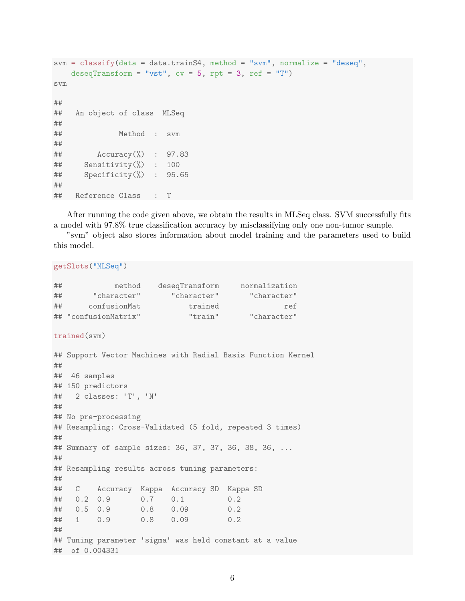```
svm = classify(data = data.trainS4, method = "svm", normalize = "deseq",
   deseqTransform = "vst", cv = 5, rpt = 3, ref = "T")svm
##
## An object of class MLSeq
##
## Method : svm
##
## Accuracy(%) : 97.83
## Sensitivity(%) : 100
## Specificity(%) : 95.65
##
## Reference Class : T
```
After running the code given above, we obtain the results in MLSeq class. SVM successfully fits a model with 97.8% true classification accuracy by misclassifying only one non-tumor sample.

"svm" object also stores information about model training and the parameters used to build this model.

#### getSlots("MLSeq")

| ## | method               | deseqTransform | normalization |
|----|----------------------|----------------|---------------|
| ## | "character"          | "character"    | "character"   |
| ## | confusionMat         | trained        | ref           |
|    | ## "confusionMatrix" | "train"        | "character"   |
|    |                      |                |               |

```
trained(svm)
```

```
## Support Vector Machines with Radial Basis Function Kernel
##
## 46 samples
## 150 predictors
## 2 classes: 'T', 'N'
##
## No pre-processing
## Resampling: Cross-Validated (5 fold, repeated 3 times)
##
## Summary of sample sizes: 36, 37, 37, 36, 38, 36, ...
##
## Resampling results across tuning parameters:
##
## C Accuracy Kappa Accuracy SD Kappa SD
## 0.2 0.9 0.7 0.1 0.2
## 0.5 0.9 0.8 0.09 0.2
## 1 0.9 0.8 0.09 0.2
##
## Tuning parameter 'sigma' was held constant at a value
## of 0.004331
```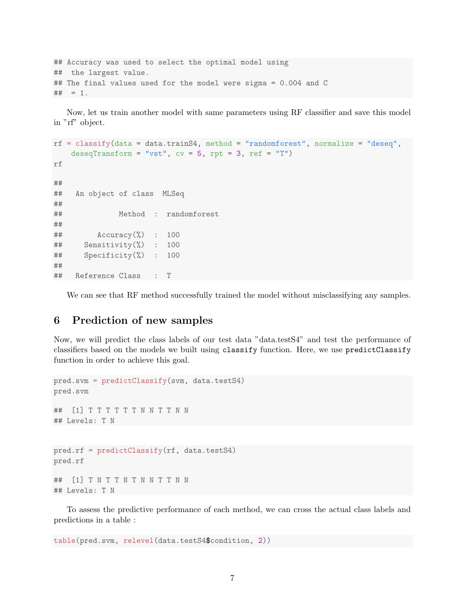```
## Accuracy was used to select the optimal model using
## the largest value.
## The final values used for the model were sigma = 0.004 and C
## = 1.
```
Now, let us train another model with same parameters using RF classifier and save this model in "rf" object.

```
rf = classify(data = data.trainS4, method = "randomforest", normalize = "deseq",deseqTransform = "vst", cv = 5, rpt = 3, ref = "T")rf
##
## An object of class MLSeq
##
## Method : randomforest
##
## Accuracy(%) : 100
## Sensitivity(%) : 100
## Specificity(%) : 100
##
## Reference Class : T
```
We can see that RF method successfully trained the model without misclassifying any samples.

## 6 Prediction of new samples

Now, we will predict the class labels of our test data "data.testS4" and test the performance of classifiers based on the models we built using classify function. Here, we use predictClassify function in order to achieve this goal.

```
pred.svm = predictClassify(svm, data.testS4)
pred.svm
## [1] T T T T T T N N T T N N
## Levels: T N
pred.rf = predictClassify(rf, data.testS4)
pred.rf
## [1] T N T T N T N N T T N N
## Levels: T N
```
To assess the predictive performance of each method, we can cross the actual class labels and predictions in a table :

```
table(pred.svm, relevel(data.testS4$condition, 2))
```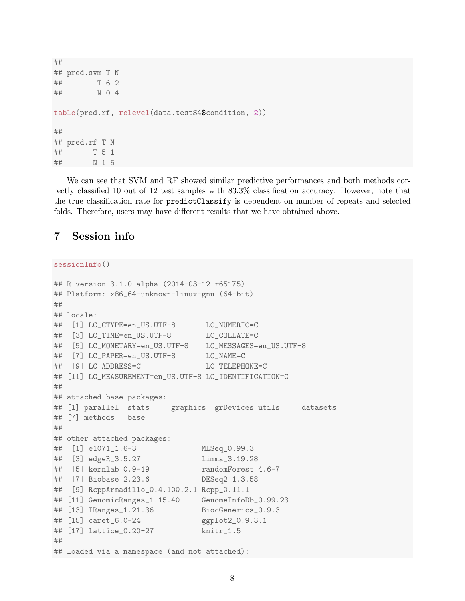```
##
## pred.svm T N
## T 6 2
## N 0 4
table(pred.rf, relevel(data.testS4$condition, 2))
##
## pred.rf T N
## T 5 1
## N 1 5
```
We can see that SVM and RF showed similar predictive performances and both methods correctly classified 10 out of 12 test samples with 83.3% classification accuracy. However, note that the true classification rate for predictClassify is dependent on number of repeats and selected folds. Therefore, users may have different results that we have obtained above.

## 7 Session info

#### sessionInfo()

```
## R version 3.1.0 alpha (2014-03-12 r65175)
## Platform: x86_64-unknown-linux-gnu (64-bit)
##
## locale:
## [1] LC_CTYPE=en_US.UTF-8 LC_NUMERIC=C
## [3] LC_TIME=en_US.UTF-8 LC_COLLATE=C
## [5] LC_MONETARY=en_US.UTF-8 LC_MESSAGES=en_US.UTF-8
## [7] LC_PAPER=en_US.UTF-8 LC_NAME=C
## [9] LC_ADDRESS=C LC_TELEPHONE=C
## [11] LC_MEASUREMENT=en_US.UTF-8 LC_IDENTIFICATION=C
##
## attached base packages:
## [1] parallel stats graphics grDevices utils datasets
## [7] methods base
##
## other attached packages:
## [1] e1071_1.6-3 MLSeq_0.99.3
## [3] edgeR_3.5.27 limma_3.19.28
## [5] kernlab_0.9-19 randomForest_4.6-7
## [7] Biobase_2.23.6 DESeq2_1.3.58
## [9] RcppArmadillo_0.4.100.2.1 Rcpp_0.11.1
## [11] GenomicRanges_1.15.40 GenomeInfoDb_0.99.23
## [13] IRanges_1.21.36 BiocGenerics_0.9.3
## [15] caret_6.0-24 ggplot2_0.9.3.1
## [17] lattice_0.20-27 knitr_1.5
##
## loaded via a namespace (and not attached):
```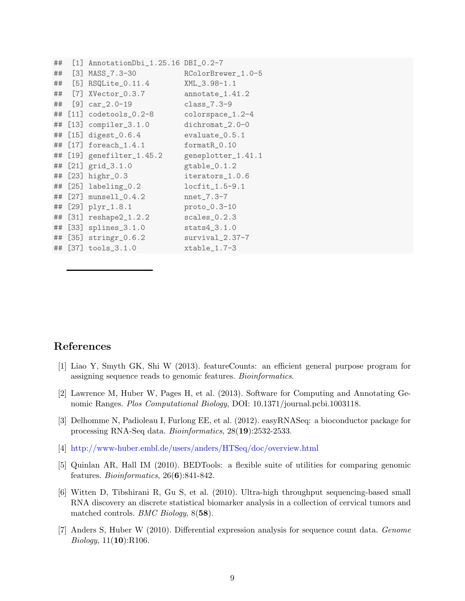```
## [1] AnnotationDbi_1.25.16 DBI_0.2-7
## [3] MASS_7.3-30 RColorBrewer_1.0-5
## [5] RSQLite_0.11.4 XML_3.98-1.1
## [7] XVector_0.3.7 annotate_1.41.2
## [9] car_2.0-19 class_7.3-9
## [11] codetools_0.2-8 colorspace_1.2-4
## [13] compiler_3.1.0 dichromat_2.0-0
## [15] digest_0.6.4 evaluate_0.5.1
## [17] foreach_1.4.1 formatR_0.10
## [19] genefilter_1.45.2 geneplotter_1.41.1
## [21] grid_3.1.0 gtable_0.1.2
## [23] highr_0.3 iterators_1.0.6
## [25] labeling_0.2 locfit_1.5-9.1
## [27] munsell_0.4.2 nnet_7.3-7
## [29] plyr_1.8.1 proto_0.3-10
## [31] reshape2_1.2.2 scales_0.2.3
## [33] splines_3.1.0 stats4_3.1.0
## [35] stringr_0.6.2 survival_2.37-7
## [37] tools_3.1.0 xtable_1.7-3
```
## References

- [1] Liao Y, Smyth GK, Shi W (2013). featureCounts: an efficient general purpose program for assigning sequence reads to genomic features. Bioinformatics.
- [2] Lawrence M, Huber W, Pages H, et al. (2013). Software for Computing and Annotating Genomic Ranges. Plos Computational Biology, DOI: 10.1371/journal.pcbi.1003118.
- [3] Delhomme N, Padioleau I, Furlong EE, et al. (2012). easyRNASeq: a bioconductor package for processing RNA-Seq data. Bioinformatics, 28(19):2532-2533.
- [4] http://www-huber.embl.de/users/anders/HTSeq/doc/overview.html
- [5] Quinlan AR, Hall IM (2010). BEDTools: a flexible suite of utilities for comparing genomic features. Bioinformatics, 26(6):841-842.
- [6] Witten D, Tibshirani R, Gu S, et al. (2010). Ultra-high throughput sequencing-based small RNA discovery an discrete statistical biomarker analysis in a collection of cervical tumors and matched controls. BMC Biology, 8(58).
- [7] Anders S, Huber W (2010). Differential expression analysis for sequence count data. Genome Biology, 11(10):R106.